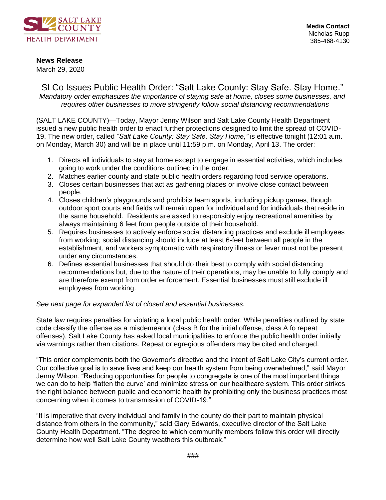

## **News Release**

March 29, 2020

SLCo Issues Public Health Order: "Salt Lake County: Stay Safe. Stay Home." *Mandatory order emphasizes the importance of staying safe at home, closes some businesses, and requires other businesses to more stringently follow social distancing recommendations* 

(SALT LAKE COUNTY)—Today, Mayor Jenny Wilson and Salt Lake County Health Department issued a new public health order to enact further protections designed to limit the spread of COVID-19. The new order, called *"Salt Lake County: Stay Safe. Stay Home,"* is effective tonight (12:01 a.m. on Monday, March 30) and will be in place until 11:59 p.m. on Monday, April 13. The order:

- 1. Directs all individuals to stay at home except to engage in essential activities, which includes going to work under the conditions outlined in the order.
- 2. Matches earlier county and state public health orders regarding food service operations.
- 3. Closes certain businesses that act as gathering places or involve close contact between people.
- 4. Closes children's playgrounds and prohibits team sports, including pickup games, though outdoor sport courts and fields will remain open for individual and for individuals that reside in the same household. Residents are asked to responsibly enjoy recreational amenities by always maintaining 6 feet from people outside of their household.
- 5. Requires businesses to actively enforce social distancing practices and exclude ill employees from working; social distancing should include at least 6-feet between all people in the establishment, and workers symptomatic with respiratory illness or fever must not be present under any circumstances.
- 6. Defines essential businesses that should do their best to comply with social distancing recommendations but, due to the nature of their operations, may be unable to fully comply and are therefore exempt from order enforcement. Essential businesses must still exclude ill employees from working.

## *See next page for expanded list of closed and essential businesses.*

State law requires penalties for violating a local public health order. While penalities outlined by state code classify the offense as a misdemeanor (class B for the initial offense, class A fo repeat offenses), Salt Lake County has asked local municipalities to enforce the public health order initially via warnings rather than citations. Repeat or egregious offenders may be cited and charged.

"This order complements both the Governor's directive and the intent of Salt Lake City's current order. Our collective goal is to save lives and keep our health system from being overwhelmed," said Mayor Jenny Wilson. "Reducing opportunities for people to congregate is one of the most important things we can do to help 'flatten the curve' and minimize stress on our healthcare system. This order strikes the right balance between public and economic health by prohibiting only the business practices most concerning when it comes to transmission of COVID-19."

"It is imperative that every individual and family in the county do their part to maintain physical distance from others in the community," said Gary Edwards, executive director of the Salt Lake County Health Department. "The degree to which community members follow this order will directly determine how well Salt Lake County weathers this outbreak."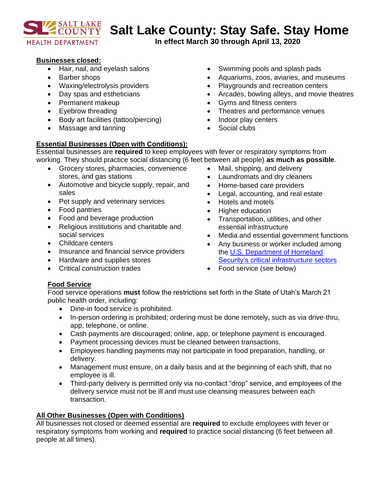

# **Salt Lake County: Stay Safe. Stay Home**

**In effect March 30 through April 13, 2020**

## **Businesses closed:**

- Hair, nail, and eyelash salons
- Barber shops
- Waxing/electrolysis providers
- Day spas and estheticians
- Permanent makeup
- Eyebrow threading
- Body art facilities (tattoo/piercing)
- Massage and tanning

## **Essential Businesses (Open with Conditions):**

Swimming pools and splash pads

- Aquariums, zoos, aviaries, and museums
- Playgrounds and recreation centers
- Arcades, bowling alleys, and movie theatres
- Gyms and fitness centers
- Theatres and performance venues
- Indoor play centers
- Social clubs

Essential businesses are **required** to keep employees with fever or respiratory symptoms from working. They should practice social distancing (6 feet between all people) **as much as possible**.

- Grocery stores, pharmacies, convenience stores, and gas stations
- Automotive and bicycle supply, repair, and sales
- Pet supply and veterinary services
- Food pantries
- Food and beverage production
- Religious institutions and charitable and social services
- Childcare centers
- Insurance and financial service providers
- Hardware and supplies stores
- Critical construction trades
- Mail, shipping, and delivery
- Laundromats and dry cleaners
- Home-based care providers
- Legal, accounting, and real estate
- Hotels and motels
- Higher education
- Transportation, utilities, and other essential infrastructure
- Media and essential government functions
- Any business or worker included among the [U.S. Department of Homeland](https://www.cisa.gov/critical-infrastructure-sectors)  [Security's critical infrastructure sectors](https://www.cisa.gov/critical-infrastructure-sectors)
- Food service (see below)

## **Food Service**

Food service operations **must** follow the restrictions set forth in the State of Utah's March 21 public health order, including:

- Dine-in food service is prohibited.
- In-person ordering is prohibited; ordering must be done remotely, such as via drive-thru, app, telephone, or online.
- Cash payments are discouraged; online, app, or telephone payment is encouraged.
- Payment processing devices must be cleaned between transactions.
- Employees handling payments may not participate in food preparation, handling, or delivery.
- Management must ensure, on a daily basis and at the beginning of each shift, that no employee is ill.
- Third-party delivery is permitted only via no-contact "drop" service, and employees of the delivery service must not be ill and must use cleansing measures between each transaction.

## **All Other Businesses (Open with Conditions)**

All businesses not closed or deemed essential are **required** to exclude employees with fever or respiratory symptoms from working and **required** to practice social distancing (6 feet between all people at all times).